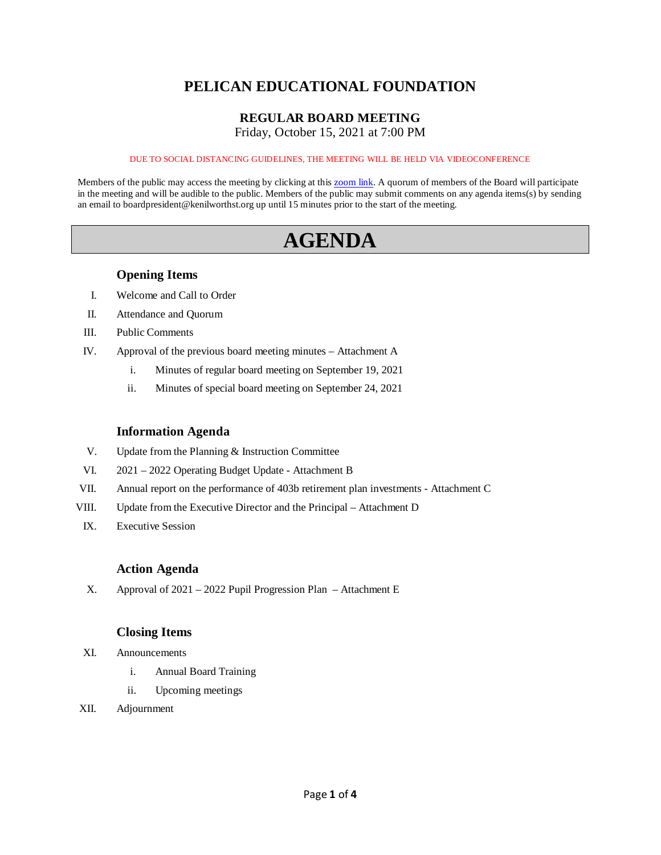## **PELICAN EDUCATIONAL FOUNDATION**

## **REGULAR BOARD MEETING**

Friday, October 15, 2021 at 7:00 PM

#### DUE TO SOCIAL DISTANCING GUIDELINES, THE MEETING WILL BE HELD VIA VIDEOCONFERENCE

Members of the public may access the meeting by clicking at this [zoom link.](https://kenilworthst-org.zoom.us/j/88325675932?pwd=MTJNR3V4Z0tDZno4QkxvVjhidFh5dz09) A quorum of members of the Board will participate in the meeting and will be audible to the public. Members of the public may submit comments on any agenda items(s) by sending an email to boardpresident@kenilworthst.org up until 15 minutes prior to the start of the meeting.

# **AGENDA**

## **Opening Items**

- I. Welcome and Call to Order
- II. Attendance and Quorum
- III. Public Comments
- IV. Approval of the previous board meeting minutes Attachment A
	- i. Minutes of regular board meeting on September 19, 2021
	- ii. Minutes of special board meeting on September 24, 2021

## **Information Agenda**

- V. Update from the Planning & Instruction Committee
- VI. 2021 2022 Operating Budget Update Attachment B
- VII. Annual report on the performance of 403b retirement plan investments Attachment C
- VIII. Update from the Executive Director and the Principal Attachment D
- IX. Executive Session

## **Action Agenda**

X. Approval of 2021 – 2022 Pupil Progression Plan – Attachment E

## **Closing Items**

- XI. Announcements
	- i. Annual Board Training
	- ii. Upcoming meetings
- XII. Adjournment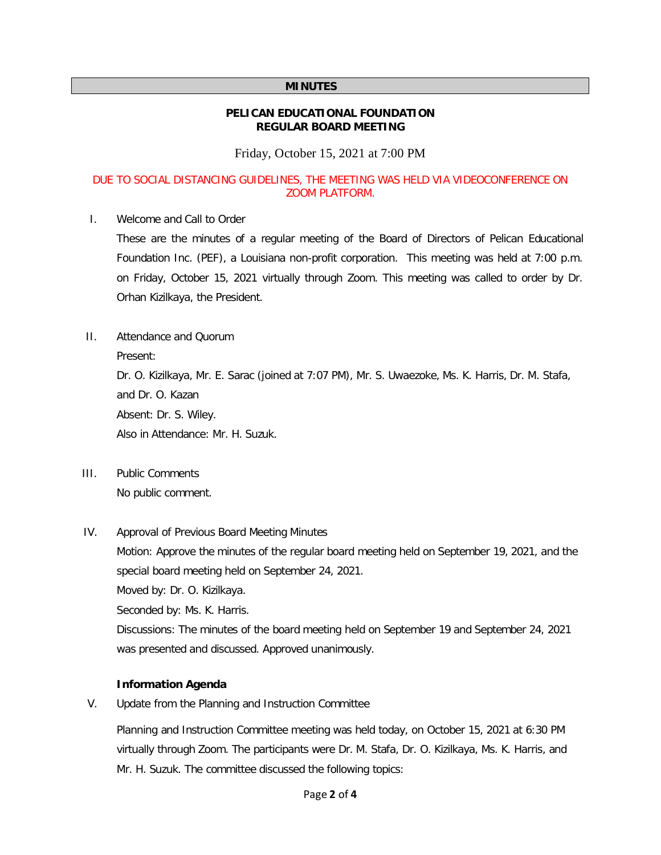#### **MINUTES**

#### **PELICAN EDUCATIONAL FOUNDATION REGULAR BOARD MEETING**

Friday, October 15, 2021 at 7:00 PM

#### DUE TO SOCIAL DISTANCING GUIDELINES, THE MEETING WAS HELD VIA VIDEOCONFERENCE ON ZOOM PLATFORM.

I. Welcome and Call to Order

These are the minutes of a regular meeting of the Board of Directors of Pelican Educational Foundation Inc. (PEF), a Louisiana non-profit corporation. This meeting was held at 7:00 p.m. on Friday, October 15, 2021 virtually through Zoom. This meeting was called to order by Dr. Orhan Kizilkaya, the President.

II. Attendance and Quorum

Present:

Dr. O. Kizilkaya, Mr. E. Sarac (joined at 7:07 PM), Mr. S. Uwaezoke, Ms. K. Harris, Dr. M. Stafa, and Dr. O. Kazan Absent: Dr. S. Wiley. Also in Attendance: Mr. H. Suzuk.

III. Public Comments

No public comment.

IV. Approval of Previous Board Meeting Minutes

Motion: Approve the minutes of the regular board meeting held on September 19, 2021, and the special board meeting held on September 24, 2021.

Moved by: Dr. O. Kizilkaya.

Seconded by: Ms. K. Harris.

Discussions: The minutes of the board meeting held on September 19 and September 24, 2021 was presented and discussed. Approved unanimously.

#### **Information Agenda**

V. Update from the Planning and Instruction Committee

Planning and Instruction Committee meeting was held today, on October 15, 2021 at 6:30 PM virtually through Zoom. The participants were Dr. M. Stafa, Dr. O. Kizilkaya, Ms. K. Harris, and Mr. H. Suzuk. The committee discussed the following topics: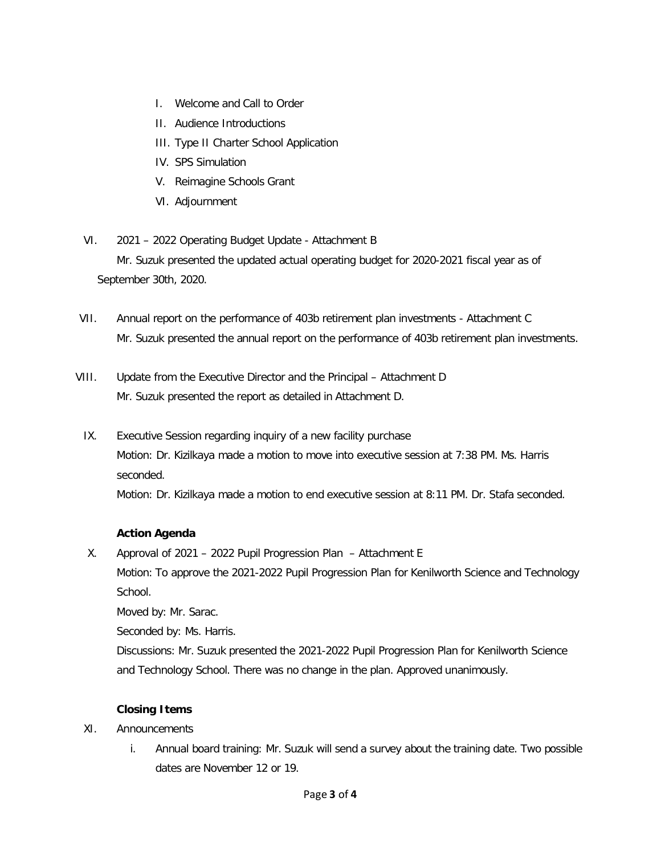- I. Welcome and Call to Order
- II. Audience Introductions
- III. Type II Charter School Application
- IV. SPS Simulation
- V. Reimagine Schools Grant
- VI. Adjournment
- VI. 2021 2022 Operating Budget Update Attachment B Mr. Suzuk presented the updated actual operating budget for 2020-2021 fiscal year as of September 30th, 2020.
- VII. Annual report on the performance of 403b retirement plan investments Attachment C Mr. Suzuk presented the annual report on the performance of 403b retirement plan investments.
- VIII. Update from the Executive Director and the Principal Attachment D Mr. Suzuk presented the report as detailed in Attachment D.
	- IX. Executive Session regarding inquiry of a new facility purchase Motion: Dr. Kizilkaya made a motion to move into executive session at 7:38 PM. Ms. Harris seconded.

Motion: Dr. Kizilkaya made a motion to end executive session at 8:11 PM. Dr. Stafa seconded.

## **Action Agenda**

X. Approval of 2021 – 2022 Pupil Progression Plan – Attachment E

Motion: To approve the 2021-2022 Pupil Progression Plan for Kenilworth Science and Technology School.

Moved by: Mr. Sarac.

Seconded by: Ms. Harris.

Discussions: Mr. Suzuk presented the 2021-2022 Pupil Progression Plan for Kenilworth Science and Technology School. There was no change in the plan. Approved unanimously.

## **Closing Items**

- XI. Announcements
	- i. Annual board training: Mr. Suzuk will send a survey about the training date. Two possible dates are November 12 or 19.